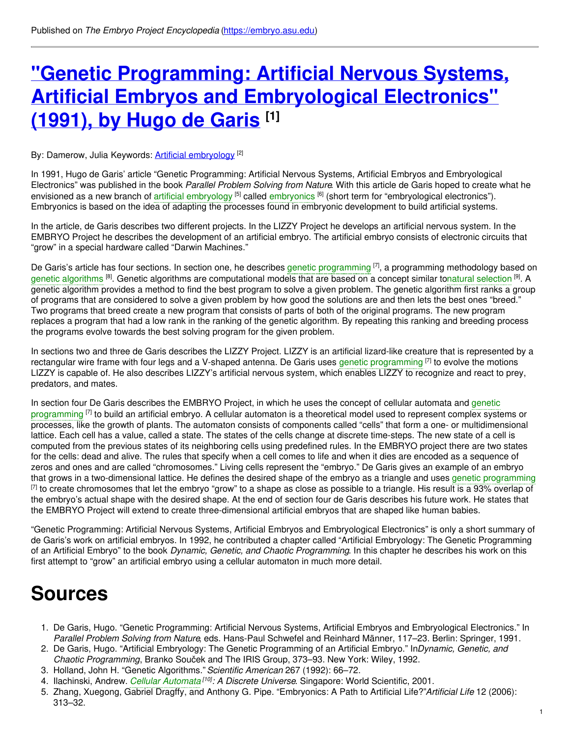# **"Genetic Programming: Artificial Nervous Systems, Artificial Embryos and [Embryological](https://embryo.asu.edu/pages/genetic-programming-artificial-nervous-systems-artificial-embryos-and-embryological) Electronics" (1991), by Hugo de Garis [1]**

By: Damerow, Julia Keywords: <u>Artificial [embryology](https://embryo.asu.edu/keywords/artificial-embryology) [2]</u>

In 1991, Hugo de Garis' article "Genetic Programming: Artificial Nervous Systems, Artificial Embryos and Embryological Electronics" was published in the book *Parallel Problem Solving from Nature*. With this article de Garis hoped to create what he envisioned as a new branch of artificial [embryology](https://embryo.asu.edu/search?text=artificial%20embryology) <sup>[5]</sup> called [embryonics](https://embryo.asu.edu/search?text=embryonics) <sup>[6]</sup> (short term for "embryological electronics"). Embryonics is based on the idea of adapting the processes found in embryonic development to build artificial systems.

In the article, de Garis describes two different projects. In the LIZZY Project he develops an artificial nervous system. In the EMBRYO Project he describes the development of an artificial embryo. The artificial embryo consists of electronic circuits that "grow" in a special hardware called "Darwin Machines."

De Garis's article has four sections. In section one, he describes genetic [programming](https://embryo.asu.edu/search?text=genetic%20programming) <sup>[7]</sup>, a programming methodology based on genetic [algorithms](https://embryo.asu.edu/search?text=genetic%20algorithms) <sup>[8]</sup>. Genetic algorithms are computational models that are based on a concept similar tonatural [selection](https://embryo.asu.edu/search?text=natural%20selection) <sup>[9]</sup>. A genetic algorithm provides a method to find the best program to solve a given problem. The genetic algorithm first ranks a group of programs that are considered to solve a given problem by how good the solutions are and then lets the best ones "breed." Two programs that breed create a new program that consists of parts of both of the original programs. The new program replaces a program that had a low rank in the ranking of the genetic algorithm. By repeating this ranking and breeding process the programs evolve towards the best solving program for the given problem.

In sections two and three de Garis describes the LIZZY Project. LIZZY is an artificial lizard-like creature that is represented by a rectangular wire frame with four legs and a V-shaped antenna. De Garis uses genetic [programming](https://embryo.asu.edu/search?text=genetic%20programming) <sup>[7]</sup> to evolve the motions LIZZY is capable of. He also describes LIZZY's artificial nervous system, which enables LIZZY to recognize and react to prey, predators, and mates.

In section four De Garis describes the EMBRYO Project, in which he uses the concept of cellular automata and genetic [programming](https://embryo.asu.edu/search?text=genetic%20programming) <sup>[7]</sup> to build an artificial embryo. A cellular automaton is a theoretical model used to represent complex systems or processes, like the growth of plants. The automaton consists of components called "cells" that form a one- or multidimensional lattice. Each cell has a value, called a state. The states of the cells change at discrete time-steps. The new state of a cell is computed from the previous states of its neighboring cells using predefined rules. In the EMBRYO project there are two states for the cells: dead and alive. The rules that specify when a cell comes to life and when it dies are encoded as a sequence of zeros and ones and are called "chromosomes." Living cells represent the "embryo." De Garis gives an example of an embryo that grows in a two-dimensional lattice. He defines the desired shape of the embryo as a triangle and uses genetic [programming](https://embryo.asu.edu/search?text=genetic%20programming)  $^{[7]}$  to create chromosomes that let the embryo "grow" to a shape as close as possible to a triangle. His result is a 93% overlap of the embryo's actual shape with the desired shape. At the end of section four de Garis describes his future work. He states that the EMBRYO Project will extend to create three-dimensional artificial embryos that are shaped like human babies.

"Genetic Programming: Artificial Nervous Systems, Artificial Embryos and Embryological Electronics" is only a short summary of de Garis's work on artificial embryos. In 1992, he contributed a chapter called "Artificial Embryology: The Genetic Programming of an Artificial Embryo" to the book *Dynamic, Genetic, and Chaotic Programming*. In this chapter he describes his work on this first attempt to "grow" an artificial embryo using a cellular automaton in much more detail.

## **Sources**

- 1. De Garis, Hugo. "Genetic Programming: Artificial Nervous Systems, Artificial Embryos and Embryological Electronics." In *Parallel Problem Solving from Nature*, eds. Hans-Paul Schwefel and Reinhard Männer, 117–23. Berlin: Springer, 1991.
- 2. De Garis, Hugo. "Artificial Embryology: The Genetic Programming of an Artificial Embryo." In*Dynamic, Genetic, and Chaotic Programming*, Branko Souček and The IRIS Group, 373–93. New York: Wiley, 1992.
- 3. Holland, John H. "Genetic Algorithms."*Scientific American* 267 (1992): 66–72.
- 4. Ilachinski, Andrew. *Cellular [Automata](https://embryo.asu.edu/search?text=Cellular%20Automata) [10] : A Discrete Universe*. Singapore: World Scientific, 2001.
- 5. Zhang, Xuegong, Gabriel Dragffy, and Anthony G. Pipe. "Embryonics: A Path to Artificial Life?"*Artificial Life* 12 (2006): 313–32.